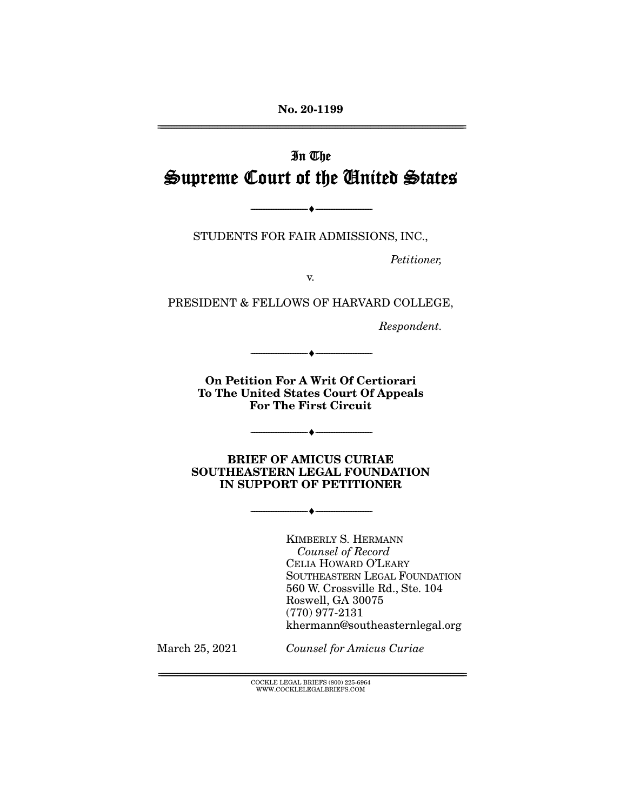**No. 20-1199**  ================================================================================================================

# In The Supreme Court of the United States

STUDENTS FOR FAIR ADMISSIONS, INC.,

 $\bullet$  -

Petitioner,

v.

PRESIDENT & FELLOWS OF HARVARD COLLEGE,

Respondent.

**On Petition For A Writ Of Certiorari To The United States Court Of Appeals For The First Circuit** 

--------------------------------- ♦ ---------------------------------

 $-$ 

**BRIEF OF AMICUS CURIAE SOUTHEASTERN LEGAL FOUNDATION IN SUPPORT OF PETITIONER** 

--------------------------------- ♦ ---------------------------------

KIMBERLY S. HERMANN Counsel of Record CELIA HOWARD O'LEARY SOUTHEASTERN LEGAL FOUNDATION 560 W. Crossville Rd., Ste. 104 Roswell, GA 30075 (770) 977-2131 khermann@southeasternlegal.org

March 25, 2021 Counsel for Amicus Curiae

 ${ \rm COCKLE}$  LEGAL BRIEFS (800) 225-6964 WWW.COCKLELEGALBRIEFS.COM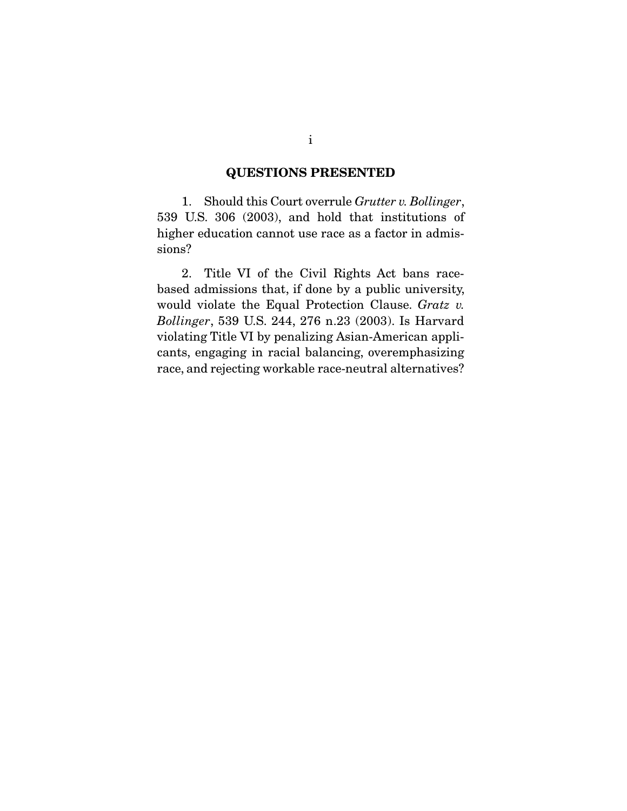## **QUESTIONS PRESENTED**

 1. Should this Court overrule *Grutter v. Bollinger*, 539 U.S. 306 (2003), and hold that institutions of higher education cannot use race as a factor in admissions?

 2. Title VI of the Civil Rights Act bans racebased admissions that, if done by a public university, would violate the Equal Protection Clause. *Gratz v. Bollinger*, 539 U.S. 244, 276 n.23 (2003). Is Harvard violating Title VI by penalizing Asian-American applicants, engaging in racial balancing, overemphasizing race, and rejecting workable race-neutral alternatives?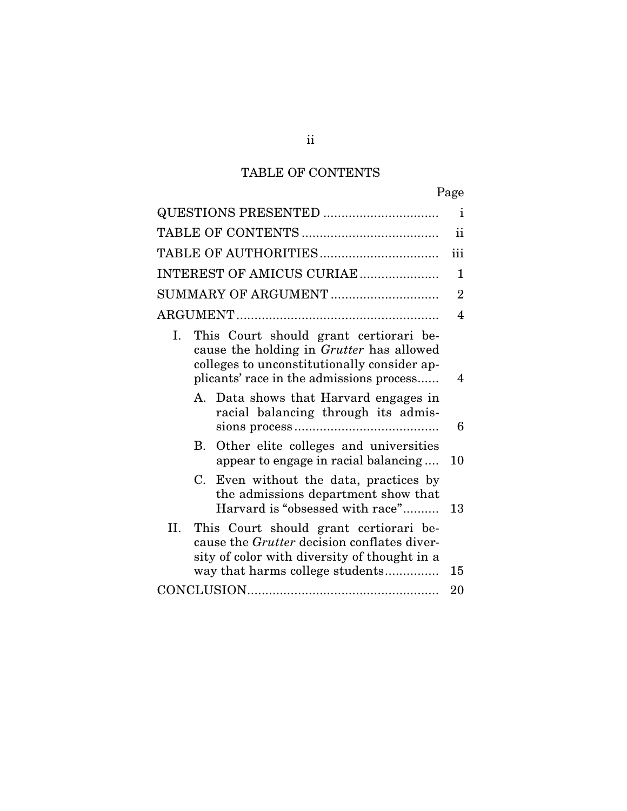# TABLE OF CONTENTS

| ۰, |
|----|
|----|

|                                                                                                                                                                                     | $\mathbf{i}$   |  |  |  |  |
|-------------------------------------------------------------------------------------------------------------------------------------------------------------------------------------|----------------|--|--|--|--|
|                                                                                                                                                                                     |                |  |  |  |  |
|                                                                                                                                                                                     | iii            |  |  |  |  |
| INTEREST OF AMICUS CURIAE                                                                                                                                                           | 1              |  |  |  |  |
| SUMMARY OF ARGUMENT                                                                                                                                                                 | $\overline{2}$ |  |  |  |  |
|                                                                                                                                                                                     | 4              |  |  |  |  |
| This Court should grant certiorari be-<br>Ι.<br>cause the holding in Grutter has allowed<br>colleges to unconstitutionally consider ap-<br>plicants' race in the admissions process | 4              |  |  |  |  |
| A. Data shows that Harvard engages in<br>racial balancing through its admis-                                                                                                        | 6              |  |  |  |  |
| Other elite colleges and universities<br>В.<br>appear to engage in racial balancing                                                                                                 | 10             |  |  |  |  |
| $C_{\cdot}$<br>Even without the data, practices by<br>the admissions department show that<br>Harvard is "obsessed with race"                                                        | 13             |  |  |  |  |
| II. This Court should grant certiorari be-<br>cause the <i>Grutter</i> decision conflates diver-<br>sity of color with diversity of thought in a<br>way that harms college students | 15             |  |  |  |  |
|                                                                                                                                                                                     | 20             |  |  |  |  |

ii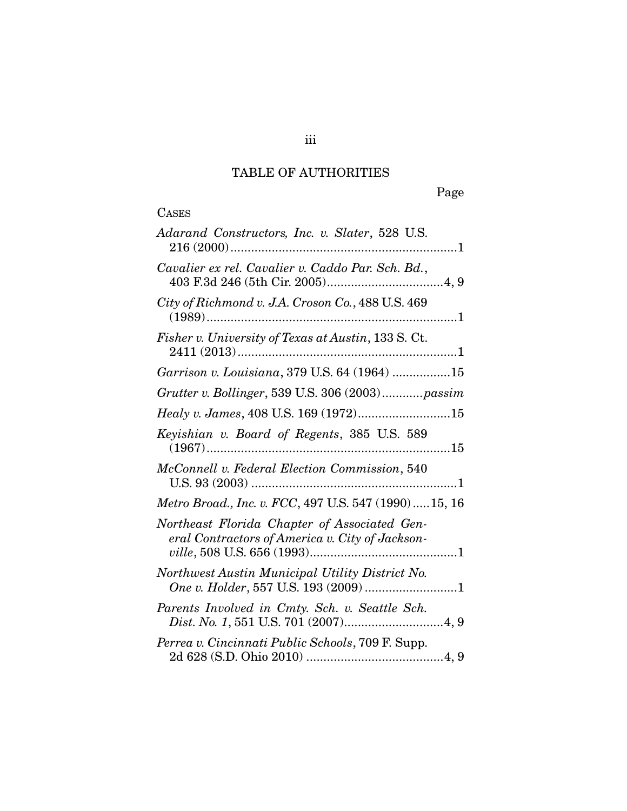# TABLE OF AUTHORITIES

# **CASES**

| Adarand Constructors, Inc. v. Slater, 528 U.S.                                                  |
|-------------------------------------------------------------------------------------------------|
| Cavalier ex rel. Cavalier v. Caddo Par. Sch. Bd.,                                               |
| City of Richmond v. J.A. Croson Co., 488 U.S. 469                                               |
| Fisher v. University of Texas at Austin, 133 S. Ct.                                             |
| Garrison v. Louisiana, 379 U.S. 64 (1964) 15                                                    |
| Grutter v. Bollinger, 539 U.S. 306 (2003)passim                                                 |
| $\it{Healy}$ v. James, 408 U.S. 169 $(1972)$ 15                                                 |
| Keyishian v. Board of Regents, 385 U.S. 589                                                     |
| McConnell v. Federal Election Commission, 540                                                   |
| Metro Broad., Inc. v. FCC, 497 U.S. 547 (1990)15, 16                                            |
| Northeast Florida Chapter of Associated Gen-<br>eral Contractors of America v. City of Jackson- |
| Northwest Austin Municipal Utility District No.<br>One v. Holder, 557 U.S. 193 (2009) 1         |
| Parents Involved in Cmty. Sch. v. Seattle Sch.                                                  |
| Perrea v. Cincinnati Public Schools, 709 F. Supp.                                               |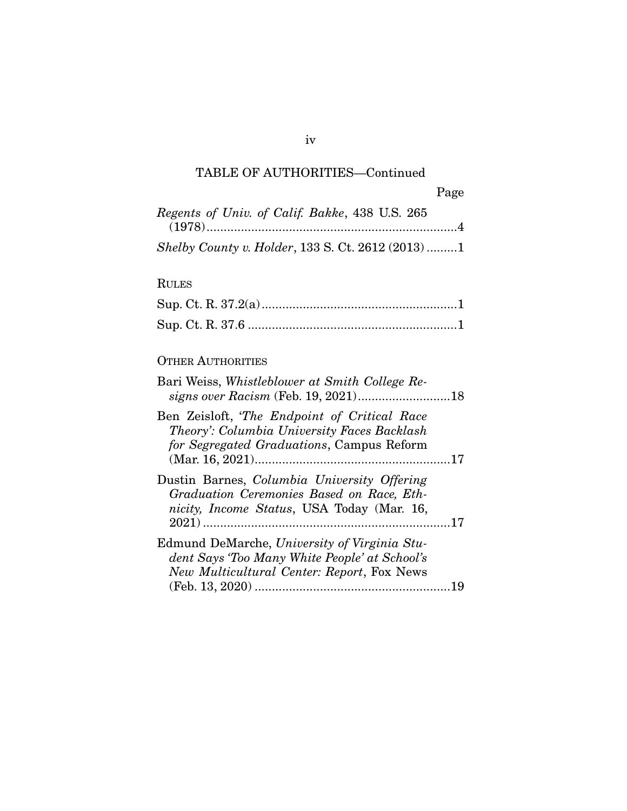# TABLE OF AUTHORITIES—Continued

iv

| Regents of Univ. of Calif. Bakke, 438 U.S. 265           |  |
|----------------------------------------------------------|--|
|                                                          |  |
| <i>Shelby County v. Holder, 133 S. Ct. 2612 (2013) 1</i> |  |

# RULES

# OTHER AUTHORITIES

| Bari Weiss, Whistleblower at Smith College Re-                                                                                              |  |
|---------------------------------------------------------------------------------------------------------------------------------------------|--|
| Ben Zeisloft, 'The Endpoint of Critical Race<br>Theory': Columbia University Faces Backlash<br>for Segregated Graduations, Campus Reform    |  |
|                                                                                                                                             |  |
| Dustin Barnes, Columbia University Offering<br>Graduation Ceremonies Based on Race, Eth-<br>nicity, Income Status, USA Today (Mar. 16,      |  |
| Edmund DeMarche, University of Virginia Stu-<br>dent Says 'Too Many White People' at School's<br>New Multicultural Center: Report, Fox News |  |
|                                                                                                                                             |  |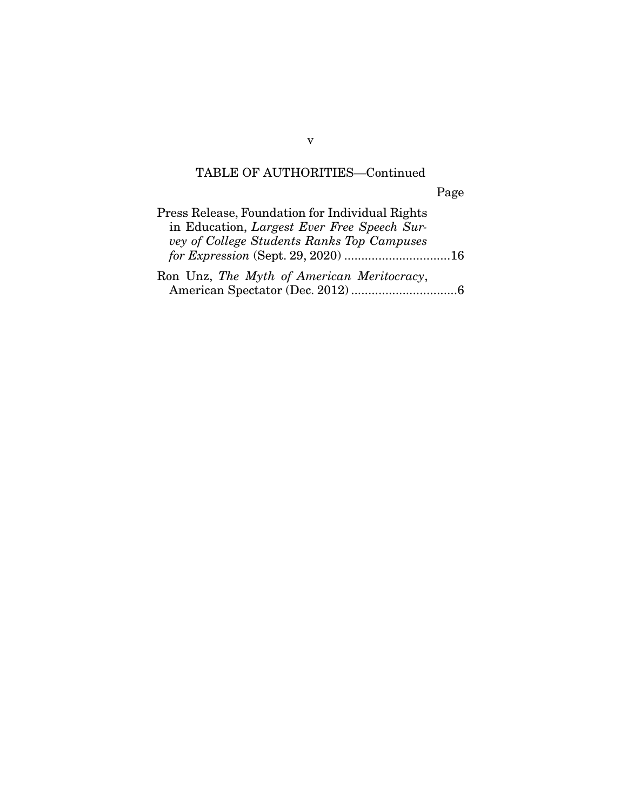# TABLE OF AUTHORITIES—Continued

Page

| Press Release, Foundation for Individual Rights |  |
|-------------------------------------------------|--|
| in Education, Largest Ever Free Speech Sur-     |  |
| vey of College Students Ranks Top Campuses      |  |
|                                                 |  |
| Ron Unz, The Myth of American Meritocracy,      |  |
|                                                 |  |

v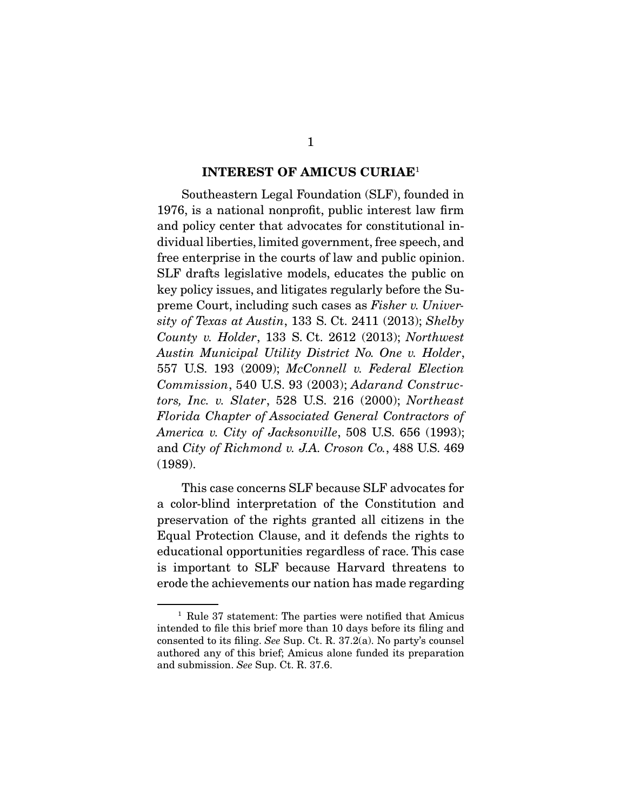### **INTEREST OF AMICUS CURIAE**<sup>1</sup>

Southeastern Legal Foundation (SLF), founded in 1976, is a national nonprofit, public interest law firm and policy center that advocates for constitutional individual liberties, limited government, free speech, and free enterprise in the courts of law and public opinion. SLF drafts legislative models, educates the public on key policy issues, and litigates regularly before the Supreme Court, including such cases as Fisher v. University of Texas at Austin, 133 S. Ct. 2411 (2013); Shelby County v. Holder, 133 S. Ct. 2612 (2013); Northwest Austin Municipal Utility District No. One v. Holder, 557 U.S. 193 (2009); McConnell v. Federal Election Commission, 540 U.S. 93 (2003); Adarand Constructors, Inc. v. Slater, 528 U.S. 216 (2000); Northeast Florida Chapter of Associated General Contractors of America v. City of Jacksonville, 508 U.S. 656 (1993); and City of Richmond v. J.A. Croson Co., 488 U.S. 469 (1989).

 This case concerns SLF because SLF advocates for a color-blind interpretation of the Constitution and preservation of the rights granted all citizens in the Equal Protection Clause, and it defends the rights to educational opportunities regardless of race. This case is important to SLF because Harvard threatens to erode the achievements our nation has made regarding

<sup>1</sup> Rule 37 statement: The parties were notified that Amicus intended to file this brief more than 10 days before its filing and consented to its filing. See Sup. Ct. R. 37.2(a). No party's counsel authored any of this brief; Amicus alone funded its preparation and submission. See Sup. Ct. R. 37.6.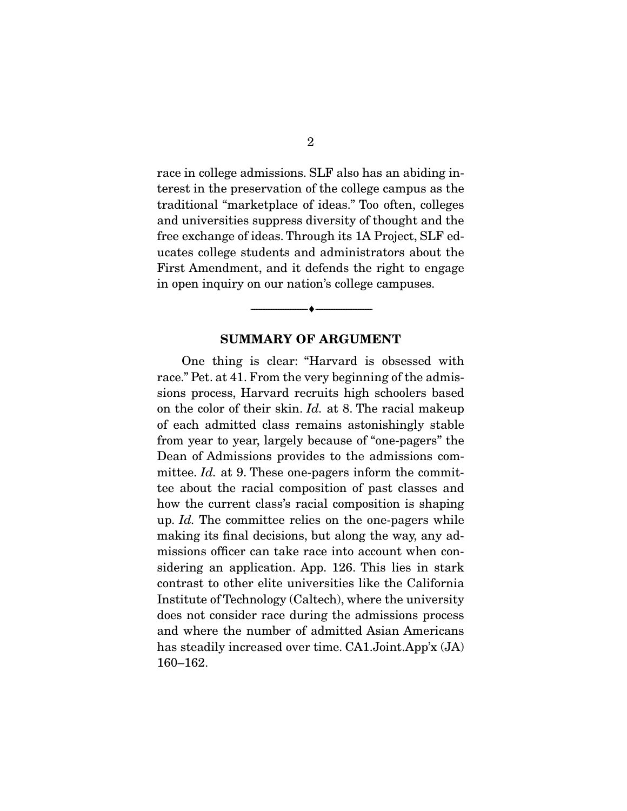race in college admissions. SLF also has an abiding interest in the preservation of the college campus as the traditional "marketplace of ideas." Too often, colleges and universities suppress diversity of thought and the free exchange of ideas. Through its 1A Project, SLF educates college students and administrators about the First Amendment, and it defends the right to engage in open inquiry on our nation's college campuses.

### **SUMMARY OF ARGUMENT**

--------------------------------- ♦ ---------------------------------

 One thing is clear: "Harvard is obsessed with race." Pet. at 41. From the very beginning of the admissions process, Harvard recruits high schoolers based on the color of their skin. Id. at 8. The racial makeup of each admitted class remains astonishingly stable from year to year, largely because of "one-pagers" the Dean of Admissions provides to the admissions committee. *Id.* at 9. These one-pagers inform the committee about the racial composition of past classes and how the current class's racial composition is shaping up. Id. The committee relies on the one-pagers while making its final decisions, but along the way, any admissions officer can take race into account when considering an application. App. 126. This lies in stark contrast to other elite universities like the California Institute of Technology (Caltech), where the university does not consider race during the admissions process and where the number of admitted Asian Americans has steadily increased over time. CA1.Joint.App'x (JA) 160–162.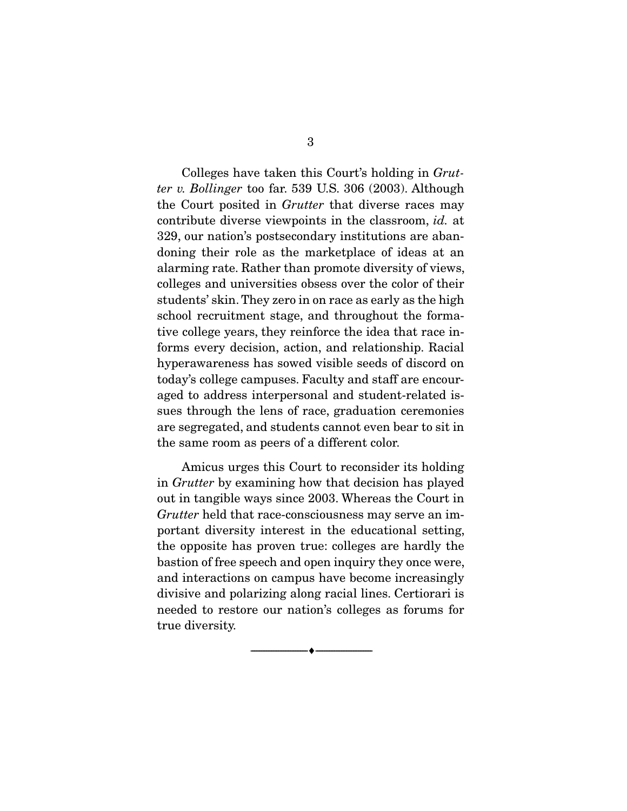Colleges have taken this Court's holding in Grutter v. Bollinger too far. 539 U.S. 306 (2003). Although the Court posited in Grutter that diverse races may contribute diverse viewpoints in the classroom, id. at 329, our nation's postsecondary institutions are abandoning their role as the marketplace of ideas at an alarming rate. Rather than promote diversity of views, colleges and universities obsess over the color of their students' skin. They zero in on race as early as the high school recruitment stage, and throughout the formative college years, they reinforce the idea that race informs every decision, action, and relationship. Racial hyperawareness has sowed visible seeds of discord on today's college campuses. Faculty and staff are encouraged to address interpersonal and student-related issues through the lens of race, graduation ceremonies are segregated, and students cannot even bear to sit in the same room as peers of a different color.

 Amicus urges this Court to reconsider its holding in Grutter by examining how that decision has played out in tangible ways since 2003. Whereas the Court in Grutter held that race-consciousness may serve an important diversity interest in the educational setting, the opposite has proven true: colleges are hardly the bastion of free speech and open inquiry they once were, and interactions on campus have become increasingly divisive and polarizing along racial lines. Certiorari is needed to restore our nation's colleges as forums for true diversity.

--------------------------------- ♦ ---------------------------------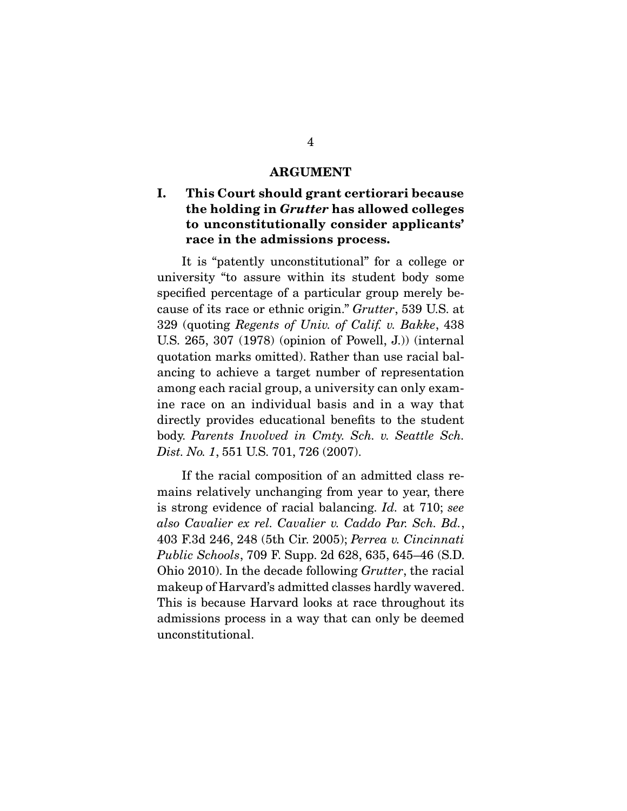#### **ARGUMENT**

# **I. This Court should grant certiorari because the holding in** *Grutter* **has allowed colleges to unconstitutionally consider applicants' race in the admissions process.**

It is "patently unconstitutional" for a college or university "to assure within its student body some specified percentage of a particular group merely because of its race or ethnic origin." Grutter, 539 U.S. at 329 (quoting Regents of Univ. of Calif. v. Bakke, 438 U.S. 265, 307 (1978) (opinion of Powell, J.)) (internal quotation marks omitted). Rather than use racial balancing to achieve a target number of representation among each racial group, a university can only examine race on an individual basis and in a way that directly provides educational benefits to the student body. Parents Involved in Cmty. Sch. v. Seattle Sch. Dist. No. 1, 551 U.S. 701, 726 (2007).

 If the racial composition of an admitted class remains relatively unchanging from year to year, there is strong evidence of racial balancing. Id. at 710; see also Cavalier ex rel. Cavalier v. Caddo Par. Sch. Bd., 403 F.3d 246, 248 (5th Cir. 2005); Perrea v. Cincinnati Public Schools, 709 F. Supp. 2d 628, 635, 645–46 (S.D. Ohio 2010). In the decade following Grutter, the racial makeup of Harvard's admitted classes hardly wavered. This is because Harvard looks at race throughout its admissions process in a way that can only be deemed unconstitutional.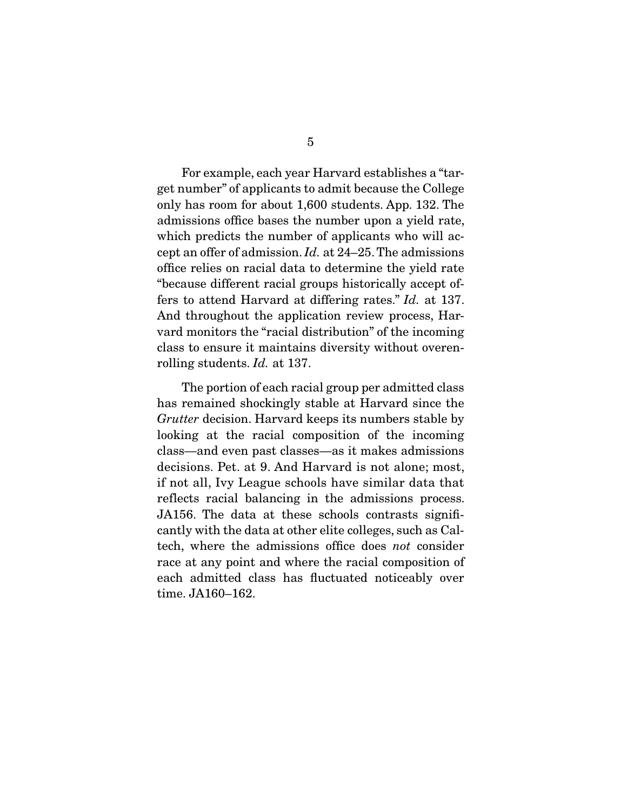For example, each year Harvard establishes a "target number" of applicants to admit because the College only has room for about 1,600 students. App. 132. The admissions office bases the number upon a yield rate, which predicts the number of applicants who will accept an offer of admission. Id. at 24–25. The admissions office relies on racial data to determine the yield rate "because different racial groups historically accept offers to attend Harvard at differing rates." Id. at 137. And throughout the application review process, Harvard monitors the "racial distribution" of the incoming class to ensure it maintains diversity without overenrolling students. *Id.* at 137.

 The portion of each racial group per admitted class has remained shockingly stable at Harvard since the Grutter decision. Harvard keeps its numbers stable by looking at the racial composition of the incoming class—and even past classes—as it makes admissions decisions. Pet. at 9. And Harvard is not alone; most, if not all, Ivy League schools have similar data that reflects racial balancing in the admissions process. JA156. The data at these schools contrasts significantly with the data at other elite colleges, such as Caltech, where the admissions office does not consider race at any point and where the racial composition of each admitted class has fluctuated noticeably over time. JA160–162.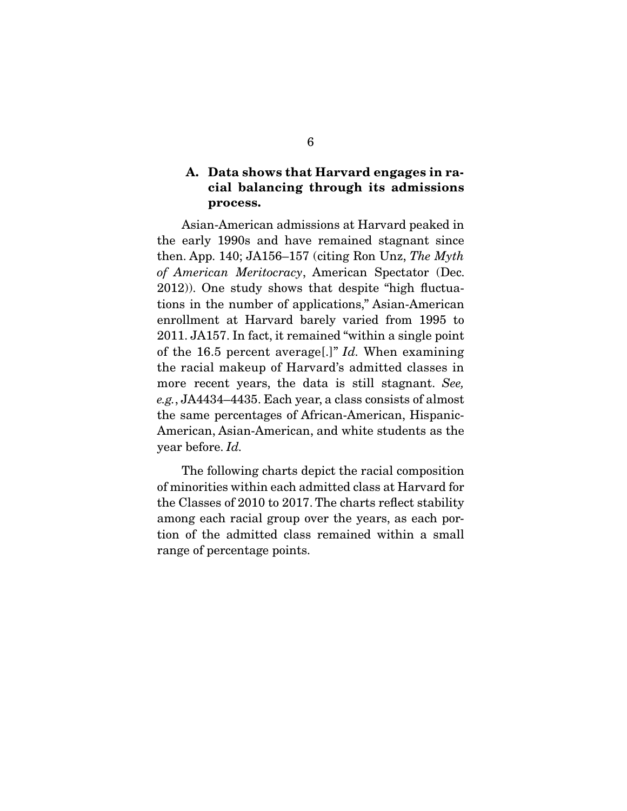# **A. Data shows that Harvard engages in racial balancing through its admissions process.**

Asian-American admissions at Harvard peaked in the early 1990s and have remained stagnant since then. App. 140; JA156–157 (citing Ron Unz, The Myth of American Meritocracy, American Spectator (Dec. 2012)). One study shows that despite "high fluctuations in the number of applications," Asian-American enrollment at Harvard barely varied from 1995 to 2011. JA157. In fact, it remained "within a single point of the 16.5 percent average[.]"  $Id$ . When examining the racial makeup of Harvard's admitted classes in more recent years, the data is still stagnant. See, e.g., JA4434–4435. Each year, a class consists of almost the same percentages of African-American, Hispanic-American, Asian-American, and white students as the year before. Id.

 The following charts depict the racial composition of minorities within each admitted class at Harvard for the Classes of 2010 to 2017. The charts reflect stability among each racial group over the years, as each portion of the admitted class remained within a small range of percentage points.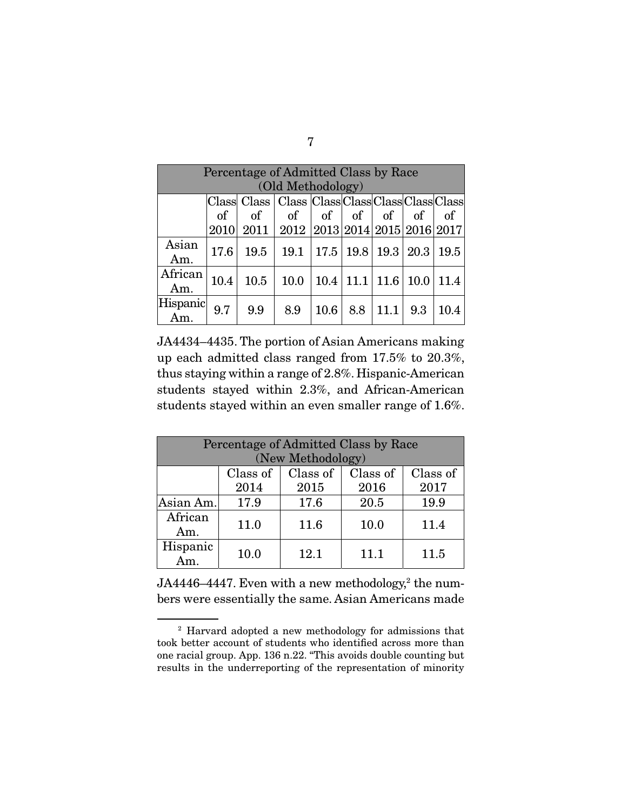| Percentage of Admitted Class by Race |          |          |                                                                     |                   |     |                             |          |      |
|--------------------------------------|----------|----------|---------------------------------------------------------------------|-------------------|-----|-----------------------------|----------|------|
| (Old Methodology)                    |          |          |                                                                     |                   |     |                             |          |      |
|                                      |          |          | Class  Class   Class   Class  Class   Class   Class   Class   Class |                   |     |                             |          |      |
|                                      | $\sigma$ | $\sigma$ | $\sigma f$                                                          | of of of $\sigma$ |     |                             | $\sigma$ | of   |
|                                      | 2010     |          | 2011   2012   2013   2014   2015   2016   2017                      |                   |     |                             |          |      |
| Asian<br>Am.                         | 17.6     | 19.5     | 19.1   17.5   19.8   19.3   20.3                                    |                   |     |                             |          | 19.5 |
| African<br>Am.                       | 10.4     | 10.5     | 10.0                                                                |                   |     | $10.4$   11.1   11.6   10.0 |          | 11.4 |
| Hispanic                             | 9.7      | 9.9      | 8.9                                                                 | 10.6              | 8.8 | 11.1                        | 9.3      | 10.4 |

JA4434–4435. The portion of Asian Americans making up each admitted class ranged from 17.5% to 20.3%, thus staying within a range of 2.8%. Hispanic-American students stayed within 2.3%, and African-American students stayed within an even smaller range of 1.6%.

| Percentage of Admitted Class by Race<br>(New Methodology) |          |          |          |          |  |  |
|-----------------------------------------------------------|----------|----------|----------|----------|--|--|
|                                                           | Class of | Class of | Class of | Class of |  |  |
|                                                           | 2014     | 2015     | 2016     | 2017     |  |  |
| Asian Am.                                                 | 17.9     | 17.6     | 20.5     | 19.9     |  |  |
| African<br>Am.                                            | 11.0     | 11.6     | 10.0     | 11.4     |  |  |
| Hispanic<br>Am                                            | 10.0     | 12.1     | 11.1     | 11.5     |  |  |

 ${\rm J}A4446\text{--}4447.$  Even with a new methodology, $^2$  the numbers were essentially the same. Asian Americans made

<sup>2</sup> Harvard adopted a new methodology for admissions that took better account of students who identified across more than one racial group. App. 136 n.22. "This avoids double counting but results in the underreporting of the representation of minority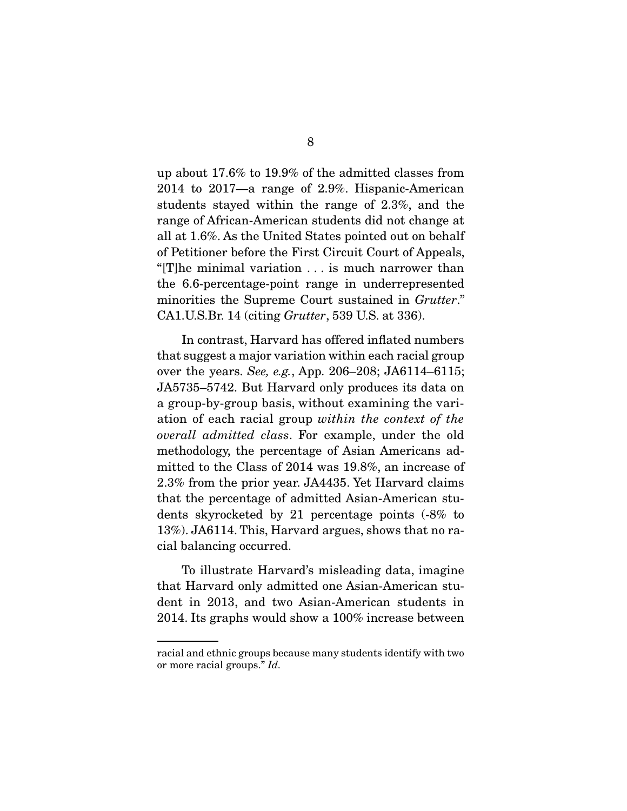up about 17.6% to 19.9% of the admitted classes from 2014 to 2017—a range of 2.9%. Hispanic-American students stayed within the range of 2.3%, and the range of African-American students did not change at all at 1.6%. As the United States pointed out on behalf of Petitioner before the First Circuit Court of Appeals, "[T]he minimal variation . . . is much narrower than the 6.6-percentage-point range in underrepresented minorities the Supreme Court sustained in *Grutter*." CA1.U.S.Br. 14 (citing Grutter, 539 U.S. at 336).

 In contrast, Harvard has offered inflated numbers that suggest a major variation within each racial group over the years. See, e.g., App. 206–208; JA6114–6115; JA5735–5742. But Harvard only produces its data on a group-by-group basis, without examining the variation of each racial group within the context of the overall admitted class. For example, under the old methodology, the percentage of Asian Americans admitted to the Class of 2014 was 19.8%, an increase of 2.3% from the prior year. JA4435. Yet Harvard claims that the percentage of admitted Asian-American students skyrocketed by 21 percentage points (-8% to 13%). JA6114. This, Harvard argues, shows that no racial balancing occurred.

 To illustrate Harvard's misleading data, imagine that Harvard only admitted one Asian-American student in 2013, and two Asian-American students in 2014. Its graphs would show a 100% increase between

racial and ethnic groups because many students identify with two or more racial groups." Id.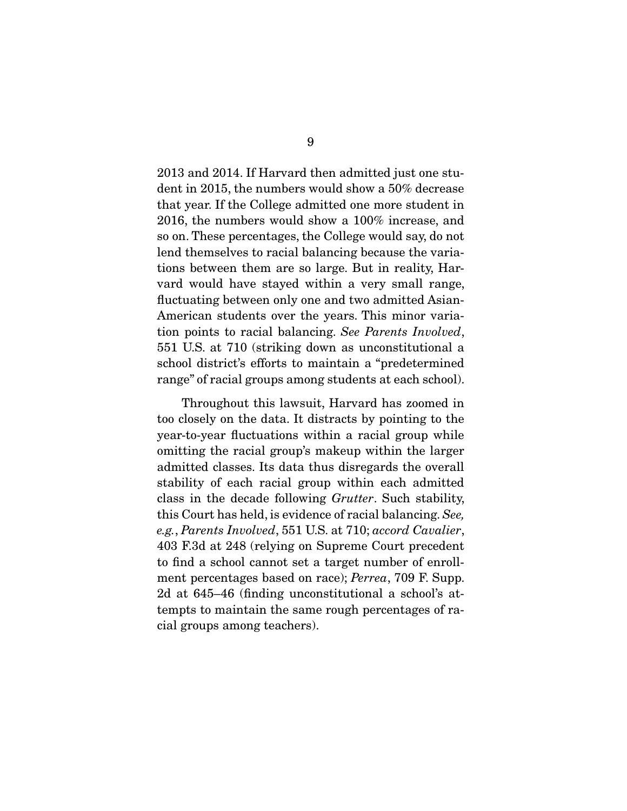2013 and 2014. If Harvard then admitted just one student in 2015, the numbers would show a 50% decrease that year. If the College admitted one more student in 2016, the numbers would show a 100% increase, and so on. These percentages, the College would say, do not lend themselves to racial balancing because the variations between them are so large. But in reality, Harvard would have stayed within a very small range, fluctuating between only one and two admitted Asian-American students over the years. This minor variation points to racial balancing. See Parents Involved, 551 U.S. at 710 (striking down as unconstitutional a school district's efforts to maintain a "predetermined range" of racial groups among students at each school).

 Throughout this lawsuit, Harvard has zoomed in too closely on the data. It distracts by pointing to the year-to-year fluctuations within a racial group while omitting the racial group's makeup within the larger admitted classes. Its data thus disregards the overall stability of each racial group within each admitted class in the decade following Grutter. Such stability, this Court has held, is evidence of racial balancing. See, e.g., Parents Involved, 551 U.S. at 710; accord Cavalier, 403 F.3d at 248 (relying on Supreme Court precedent to find a school cannot set a target number of enrollment percentages based on race); Perrea, 709 F. Supp. 2d at 645–46 (finding unconstitutional a school's attempts to maintain the same rough percentages of racial groups among teachers).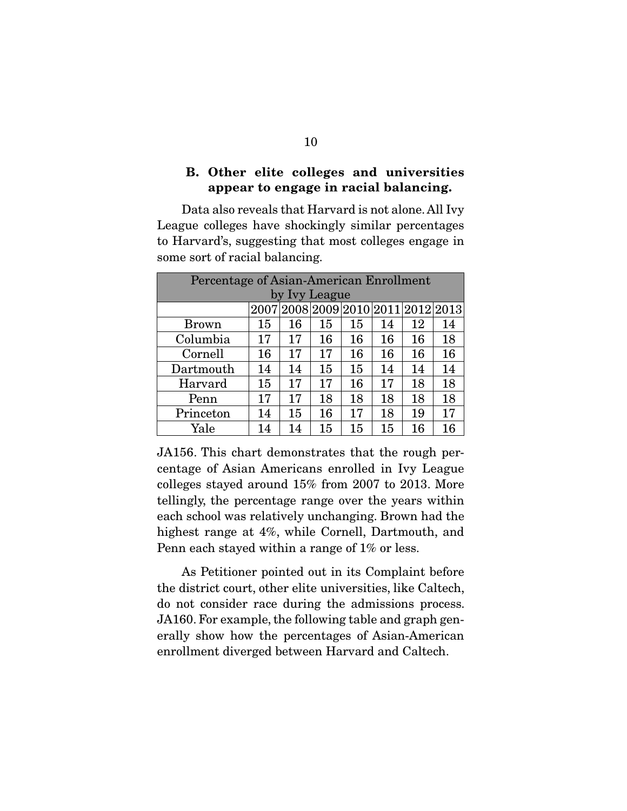# **B. Other elite colleges and universities appear to engage in racial balancing.**

 Data also reveals that Harvard is not alone. All Ivy League colleges have shockingly similar percentages to Harvard's, suggesting that most colleges engage in some sort of racial balancing.

| Percentage of Asian-American Enrollment |               |    |    |    |    |    |                                    |
|-----------------------------------------|---------------|----|----|----|----|----|------------------------------------|
|                                         | by Ivy League |    |    |    |    |    |                                    |
|                                         |               |    |    |    |    |    | 2007 2008 2009 2010 2011 2012 2013 |
| <b>Brown</b>                            | 15            | 16 | 15 | 15 | 14 | 12 | 14                                 |
| Columbia                                | 17            | 17 | 16 | 16 | 16 | 16 | 18                                 |
| Cornell                                 | 16            | 17 | 17 | 16 | 16 | 16 | 16                                 |
| Dartmouth                               | 14            | 14 | 15 | 15 | 14 | 14 | 14                                 |
| Harvard                                 | 15            | 17 | 17 | 16 | 17 | 18 | 18                                 |
| Penn                                    | 17            | 17 | 18 | 18 | 18 | 18 | 18                                 |
| Princeton                               | 14            | 15 | 16 | 17 | 18 | 19 | 17                                 |
| Yale                                    | 14            | 14 | 15 | 15 | 15 | 16 | 16                                 |

JA156. This chart demonstrates that the rough percentage of Asian Americans enrolled in Ivy League colleges stayed around 15% from 2007 to 2013. More tellingly, the percentage range over the years within each school was relatively unchanging. Brown had the highest range at 4%, while Cornell, Dartmouth, and Penn each stayed within a range of 1% or less.

 As Petitioner pointed out in its Complaint before the district court, other elite universities, like Caltech, do not consider race during the admissions process. JA160. For example, the following table and graph generally show how the percentages of Asian-American enrollment diverged between Harvard and Caltech.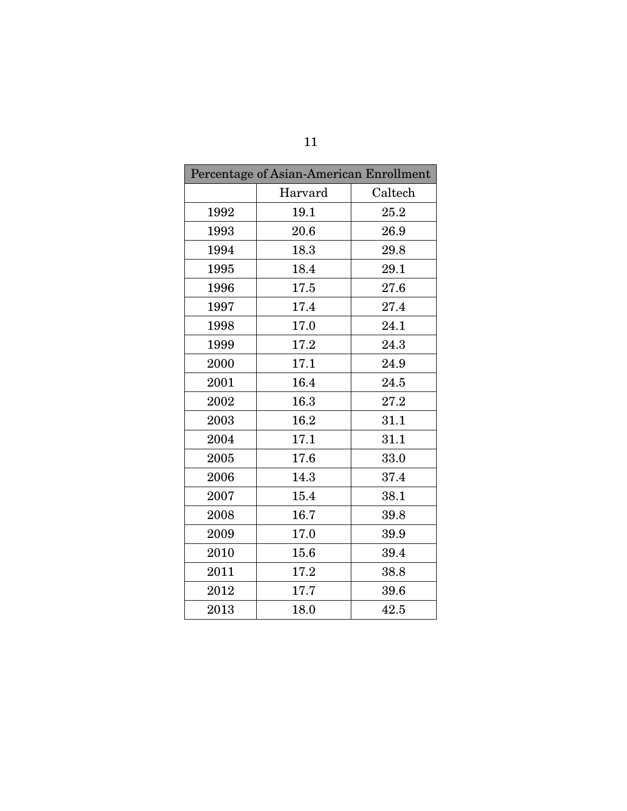| Percentage of Asian-American Enrollment |         |         |  |  |  |
|-----------------------------------------|---------|---------|--|--|--|
|                                         | Harvard | Caltech |  |  |  |
| 1992                                    | 19.1    | 25.2    |  |  |  |
| 1993                                    | 20.6    | 26.9    |  |  |  |
| 1994                                    | 18.3    | 29.8    |  |  |  |
| 1995                                    | 18.4    | 29.1    |  |  |  |
| 1996                                    | 17.5    | 27.6    |  |  |  |
| 1997                                    | 17.4    | 27.4    |  |  |  |
| 1998                                    | 17.0    | 24.1    |  |  |  |
| 1999                                    | 17.2    | 24.3    |  |  |  |
| 2000                                    | 17.1    | 24.9    |  |  |  |
| 2001                                    | 16.4    | 24.5    |  |  |  |
| 2002                                    | 16.3    | 27.2    |  |  |  |
| 2003                                    | 16.2    | 31.1    |  |  |  |
| 2004                                    | 17.1    | 31.1    |  |  |  |
| 2005                                    | 17.6    | 33.0    |  |  |  |
| 2006                                    | 14.3    | 37.4    |  |  |  |
| 2007                                    | 15.4    | 38.1    |  |  |  |
| 2008                                    | 16.7    | 39.8    |  |  |  |
| 2009                                    | 17.0    | 39.9    |  |  |  |
| 2010                                    | 15.6    | 39.4    |  |  |  |
| 2011                                    | 17.2    | 38.8    |  |  |  |
| 2012                                    | 17.7    | 39.6    |  |  |  |
| 2013                                    | 18.0    | 42.5    |  |  |  |

11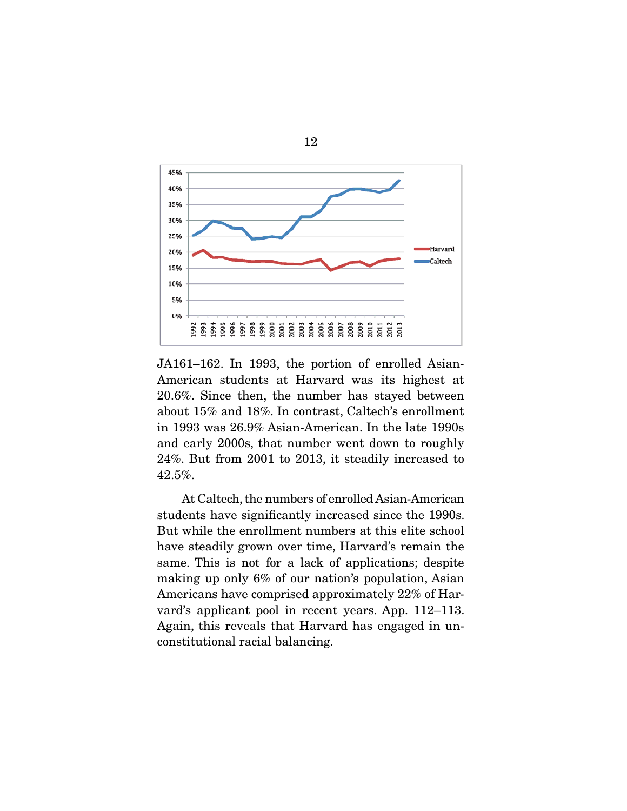

12

JA161–162. In 1993, the portion of enrolled Asian-American students at Harvard was its highest at 20.6%. Since then, the number has stayed between about 15% and 18%. In contrast, Caltech's enrollment in 1993 was 26.9% Asian-American. In the late 1990s and early 2000s, that number went down to roughly 24%. But from 2001 to 2013, it steadily increased to 42.5%.

 At Caltech, the numbers of enrolled Asian-American students have significantly increased since the 1990s. But while the enrollment numbers at this elite school have steadily grown over time, Harvard's remain the same. This is not for a lack of applications; despite making up only 6% of our nation's population, Asian Americans have comprised approximately 22% of Harvard's applicant pool in recent years. App. 112–113. Again, this reveals that Harvard has engaged in unconstitutional racial balancing.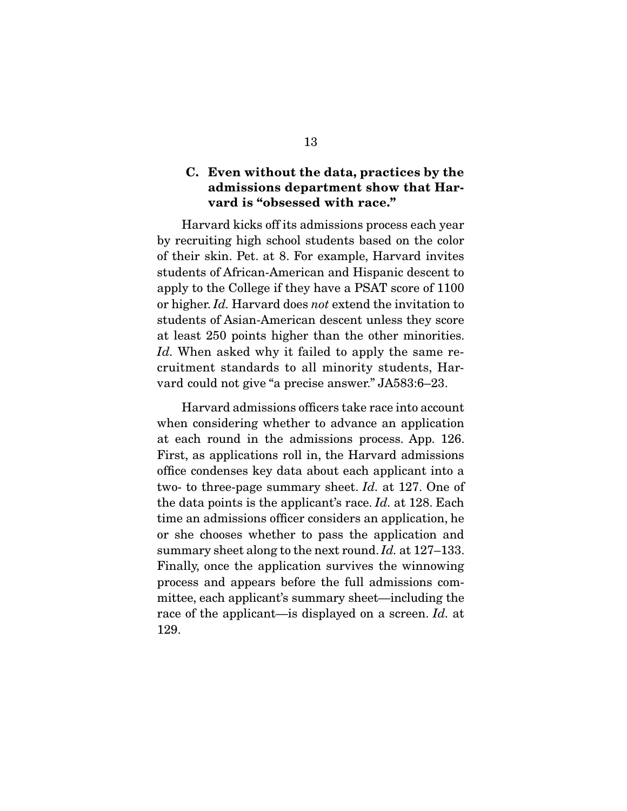# **C. Even without the data, practices by the admissions department show that Harvard is "obsessed with race."**

 Harvard kicks off its admissions process each year by recruiting high school students based on the color of their skin. Pet. at 8. For example, Harvard invites students of African-American and Hispanic descent to apply to the College if they have a PSAT score of 1100 or higher. Id. Harvard does not extend the invitation to students of Asian-American descent unless they score at least 250 points higher than the other minorities. Id. When asked why it failed to apply the same recruitment standards to all minority students, Harvard could not give "a precise answer." JA583:6–23.

 Harvard admissions officers take race into account when considering whether to advance an application at each round in the admissions process. App. 126. First, as applications roll in, the Harvard admissions office condenses key data about each applicant into a two- to three-page summary sheet. Id. at 127. One of the data points is the applicant's race. Id. at 128. Each time an admissions officer considers an application, he or she chooses whether to pass the application and summary sheet along to the next round. Id. at 127–133. Finally, once the application survives the winnowing process and appears before the full admissions committee, each applicant's summary sheet—including the race of the applicant—is displayed on a screen. Id. at 129.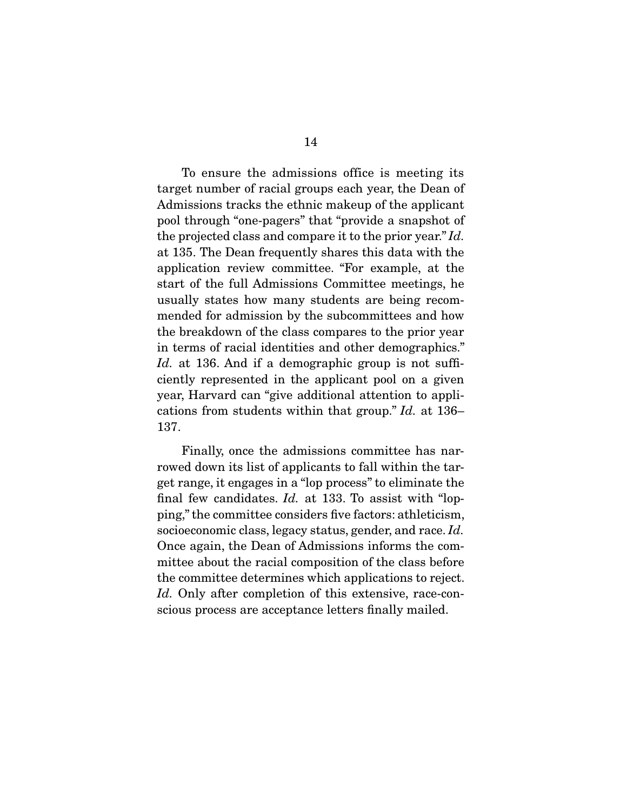To ensure the admissions office is meeting its target number of racial groups each year, the Dean of Admissions tracks the ethnic makeup of the applicant pool through "one-pagers" that "provide a snapshot of the projected class and compare it to the prior year." Id. at 135. The Dean frequently shares this data with the application review committee. "For example, at the start of the full Admissions Committee meetings, he usually states how many students are being recommended for admission by the subcommittees and how the breakdown of the class compares to the prior year in terms of racial identities and other demographics." Id. at 136. And if a demographic group is not sufficiently represented in the applicant pool on a given year, Harvard can "give additional attention to applications from students within that group." Id. at 136– 137.

 Finally, once the admissions committee has narrowed down its list of applicants to fall within the target range, it engages in a "lop process" to eliminate the final few candidates. Id. at 133. To assist with "lopping," the committee considers five factors: athleticism, socioeconomic class, legacy status, gender, and race. Id. Once again, the Dean of Admissions informs the committee about the racial composition of the class before the committee determines which applications to reject. Id. Only after completion of this extensive, race-conscious process are acceptance letters finally mailed.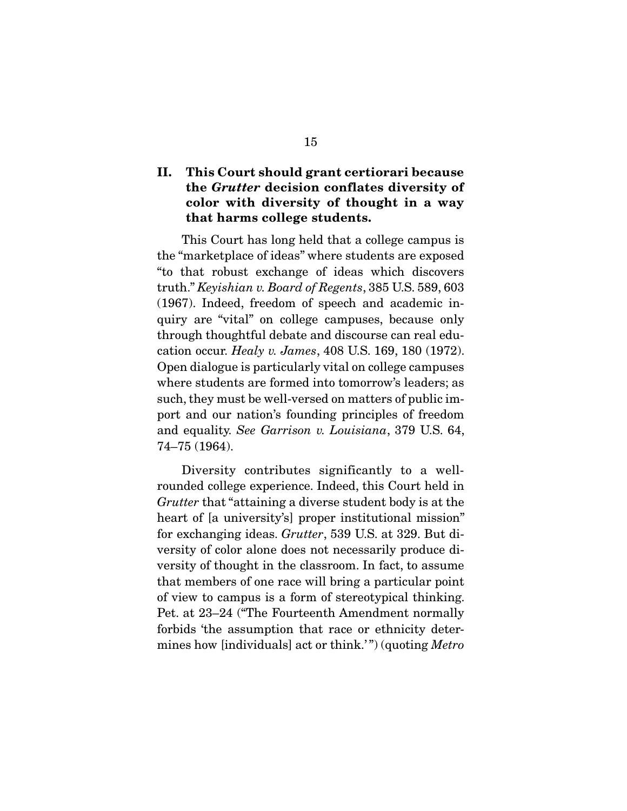# **II. This Court should grant certiorari because the** *Grutter* **decision conflates diversity of color with diversity of thought in a way that harms college students.**

This Court has long held that a college campus is the "marketplace of ideas" where students are exposed "to that robust exchange of ideas which discovers truth." Keyishian v. Board of Regents, 385 U.S. 589, 603 (1967). Indeed, freedom of speech and academic inquiry are "vital" on college campuses, because only through thoughtful debate and discourse can real education occur. Healy v. James, 408 U.S. 169, 180 (1972). Open dialogue is particularly vital on college campuses where students are formed into tomorrow's leaders; as such, they must be well-versed on matters of public import and our nation's founding principles of freedom and equality. See Garrison v. Louisiana, 379 U.S. 64, 74–75 (1964).

 Diversity contributes significantly to a wellrounded college experience. Indeed, this Court held in Grutter that "attaining a diverse student body is at the heart of [a university's] proper institutional mission" for exchanging ideas. Grutter, 539 U.S. at 329. But diversity of color alone does not necessarily produce diversity of thought in the classroom. In fact, to assume that members of one race will bring a particular point of view to campus is a form of stereotypical thinking. Pet. at 23–24 ("The Fourteenth Amendment normally forbids 'the assumption that race or ethnicity determines how [individuals] act or think.'") (quoting *Metro*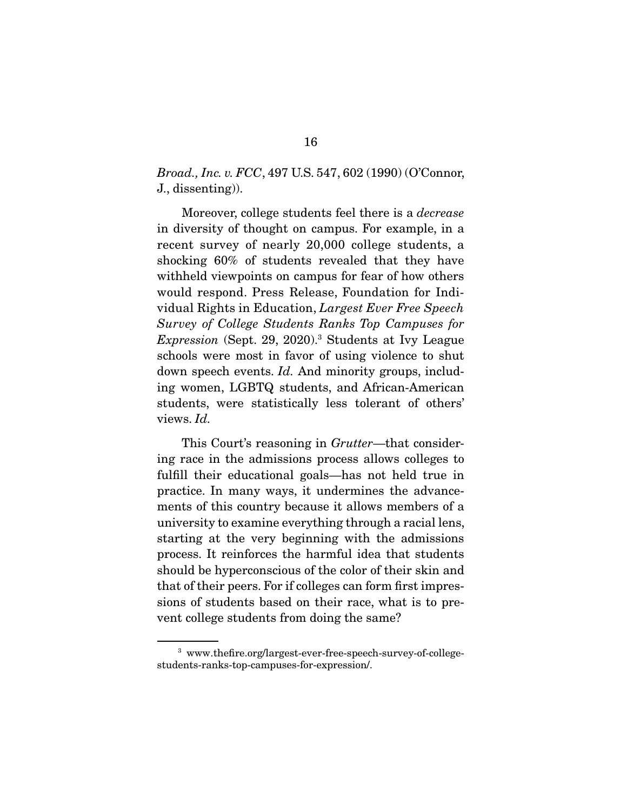## Broad., Inc. v. FCC, 497 U.S. 547, 602 (1990) (O'Connor, J., dissenting)).

 Moreover, college students feel there is a decrease in diversity of thought on campus. For example, in a recent survey of nearly 20,000 college students, a shocking 60% of students revealed that they have withheld viewpoints on campus for fear of how others would respond. Press Release, Foundation for Individual Rights in Education, Largest Ever Free Speech Survey of College Students Ranks Top Campuses for Expression (Sept. 29, 2020).<sup>3</sup> Students at Ivy League schools were most in favor of using violence to shut down speech events. Id. And minority groups, including women, LGBTQ students, and African-American students, were statistically less tolerant of others' views. Id.

This Court's reasoning in Grutter—that considering race in the admissions process allows colleges to fulfill their educational goals—has not held true in practice. In many ways, it undermines the advancements of this country because it allows members of a university to examine everything through a racial lens, starting at the very beginning with the admissions process. It reinforces the harmful idea that students should be hyperconscious of the color of their skin and that of their peers. For if colleges can form first impressions of students based on their race, what is to prevent college students from doing the same?

<sup>3</sup> www.thefire.org/largest-ever-free-speech-survey-of-collegestudents-ranks-top-campuses-for-expression/.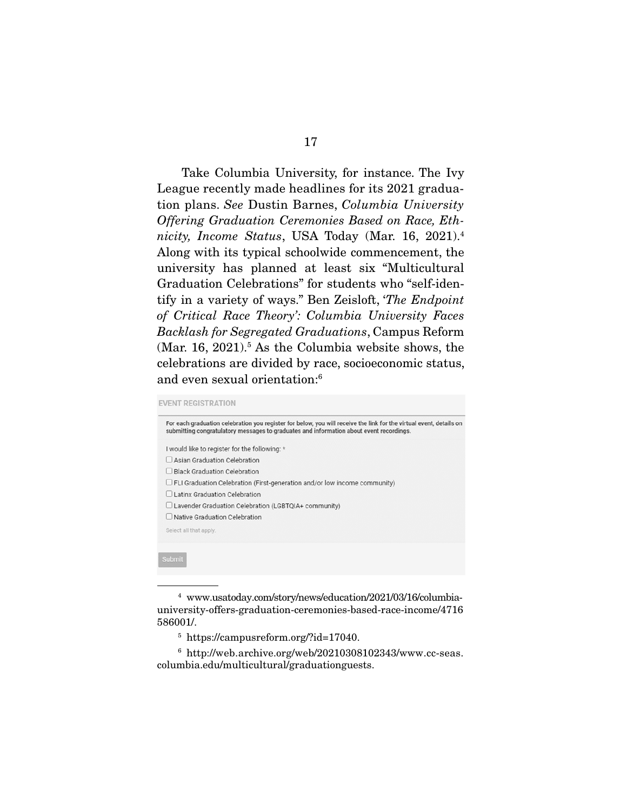Take Columbia University, for instance. The Ivy League recently made headlines for its 2021 graduation plans. See Dustin Barnes, Columbia University Offering Graduation Ceremonies Based on Race, Ethnicity, Income Status, USA Today (Mar. 16, 2021).<sup>4</sup> Along with its typical schoolwide commencement, the university has planned at least six "Multicultural Graduation Celebrations" for students who "self-identify in a variety of ways." Ben Zeisloft, 'The Endpoint of Critical Race Theory': Columbia University Faces Backlash for Segregated Graduations, Campus Reform  $(Mar. 16, 2021).<sup>5</sup>$  As the Columbia website shows, the celebrations are divided by race, socioeconomic status, and even sexual orientation:6

#### **EVENT REGISTRATION**

| For each graduation celebration you register for below, you will receive the link for the virtual event, details on<br>submitting congratulatory messages to graduates and information about event recordings. |
|----------------------------------------------------------------------------------------------------------------------------------------------------------------------------------------------------------------|
| I would like to register for the following: *                                                                                                                                                                  |
| Asian Graduation Celebration                                                                                                                                                                                   |
| <b>Black Graduation Celebration</b>                                                                                                                                                                            |
| $\Box$ FLI Graduation Celebration (First-generation and/or low income community)                                                                                                                               |
| Latinx Graduation Celebration                                                                                                                                                                                  |
| $\Box$ Lavender Graduation Celebration (LGBTQIA+ community)                                                                                                                                                    |
| Native Graduation Celebration                                                                                                                                                                                  |
| Select all that apply.                                                                                                                                                                                         |
|                                                                                                                                                                                                                |
|                                                                                                                                                                                                                |
| <b>Submit</b>                                                                                                                                                                                                  |
|                                                                                                                                                                                                                |

<sup>4</sup> www.usatoday.com/story/news/education/2021/03/16/columbiauniversity-offers-graduation-ceremonies-based-race-income/4716 586001/.

<sup>5</sup> https://campusreform.org/?id=17040.

<sup>6</sup> http://web.archive.org/web/20210308102343/www.cc-seas. columbia.edu/multicultural/graduationguests.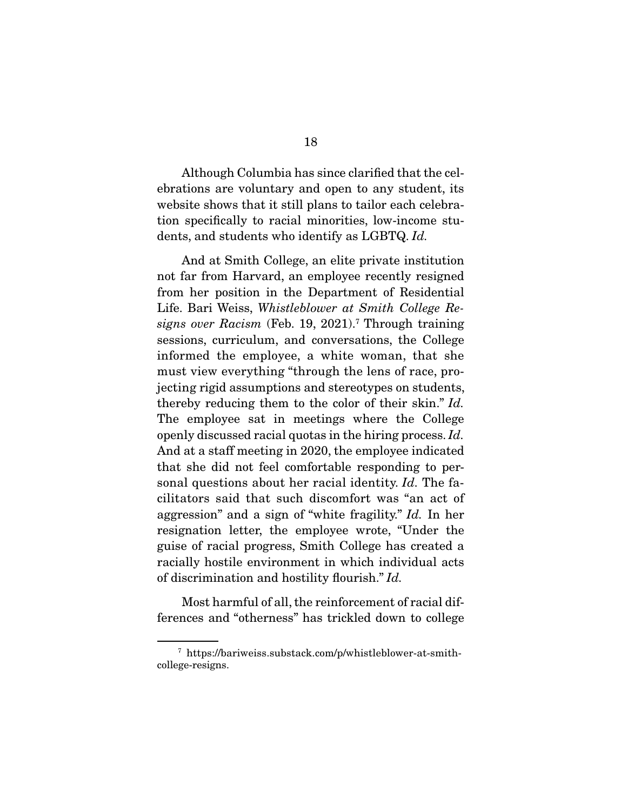Although Columbia has since clarified that the celebrations are voluntary and open to any student, its website shows that it still plans to tailor each celebration specifically to racial minorities, low-income students, and students who identify as LGBTQ. Id.

 And at Smith College, an elite private institution not far from Harvard, an employee recently resigned from her position in the Department of Residential Life. Bari Weiss, Whistleblower at Smith College Resigns over Racism (Feb. 19, 2021).<sup>7</sup> Through training sessions, curriculum, and conversations, the College informed the employee, a white woman, that she must view everything "through the lens of race, projecting rigid assumptions and stereotypes on students, thereby reducing them to the color of their skin." Id. The employee sat in meetings where the College openly discussed racial quotas in the hiring process. Id. And at a staff meeting in 2020, the employee indicated that she did not feel comfortable responding to personal questions about her racial identity. Id. The facilitators said that such discomfort was "an act of aggression" and a sign of "white fragility." Id. In her resignation letter, the employee wrote, "Under the guise of racial progress, Smith College has created a racially hostile environment in which individual acts of discrimination and hostility flourish." Id.

 Most harmful of all, the reinforcement of racial differences and "otherness" has trickled down to college

<sup>7</sup> https://bariweiss.substack.com/p/whistleblower-at-smithcollege-resigns.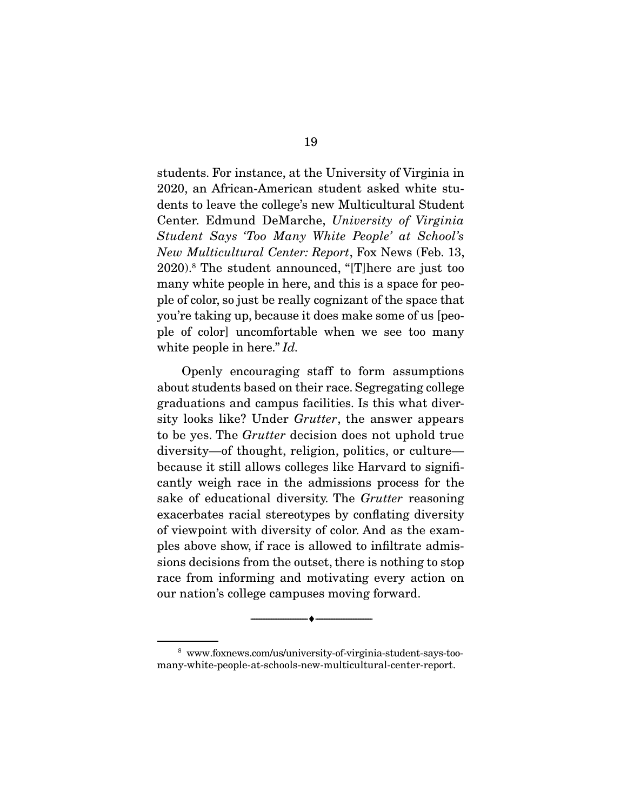students. For instance, at the University of Virginia in 2020, an African-American student asked white students to leave the college's new Multicultural Student Center. Edmund DeMarche, University of Virginia Student Says 'Too Many White People' at School's New Multicultural Center: Report, Fox News (Feb. 13, 2020).8 The student announced, "[T]here are just too many white people in here, and this is a space for people of color, so just be really cognizant of the space that you're taking up, because it does make some of us [people of color] uncomfortable when we see too many white people in here." Id.

 Openly encouraging staff to form assumptions about students based on their race. Segregating college graduations and campus facilities. Is this what diversity looks like? Under *Grutter*, the answer appears to be yes. The Grutter decision does not uphold true diversity—of thought, religion, politics, or culture because it still allows colleges like Harvard to significantly weigh race in the admissions process for the sake of educational diversity. The *Grutter* reasoning exacerbates racial stereotypes by conflating diversity of viewpoint with diversity of color. And as the examples above show, if race is allowed to infiltrate admissions decisions from the outset, there is nothing to stop race from informing and motivating every action on our nation's college campuses moving forward.

<sup>8</sup> www.foxnews.com/us/university-of-virginia-student-says-toomany-white-people-at-schools-new-multicultural-center-report.

--------------------------------- ♦ ---------------------------------